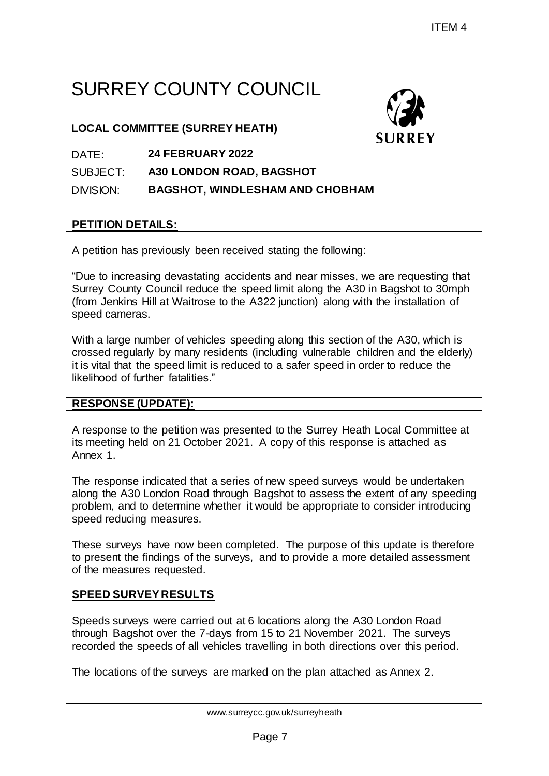# SURREY COUNTY COUNCIL

## **LOCAL COMMITTEE (SURREY HEATH)**



#### DATE: **24 FEBRUARY 2022**

SUBJECT: **A30 LONDON ROAD, BAGSHOT**

DIVISION: **BAGSHOT, WINDLESHAM AND CHOBHAM**

## **PETITION DETAILS:**

A petition has previously been received stating the following:

"Due to increasing devastating accidents and near misses, we are requesting that Surrey County Council reduce the speed limit along the A30 in Bagshot to 30mph (from Jenkins Hill at Waitrose to the A322 junction) along with the installation of speed cameras. FIEM 4<br>
POUNCIL<br>
ATH)<br>
SURREY<br>
BAGSHOT<br>
SHAM AND CHOBHAM<br>
ESHAM AND CHOBHAM<br>
ESHAM AND CHOBHAM<br>
FOR SHAM AND CHOBHAM<br>
FOR SHAM AND CHOBHAM<br>
FOR SHAM AND CHOBHAM<br>
FOR SHAM BAGGES WERE TO SUPPOSE THE SHAM ON SACK AND ASSEMBL

With a large number of vehicles speeding along this section of the A30, which is crossed regularly by many residents (including vulnerable children and the elderly) it is vital that the speed limit is reduced to a safer speed in order to reduce the likelihood of further fatalities."

# **RESPONSE (UPDATE):**

A response to the petition was presented to the Surrey Heath Local Committee at its meeting held on 21 October 2021. A copy of this response is attached as Annex 1.

The response indicated that a series of new speed surveys would be undertaken along the A30 London Road through Bagshot to assess the extent of any speeding problem, and to determine whether it would be appropriate to consider introducing speed reducing measures.

These surveys have now been completed. The purpose of this update is therefore to present the findings of the surveys, and to provide a more detailed assessment of the measures requested.

# **SPEED SURVEY RESULTS**

Speeds surveys were carried out at 6 locations along the A30 London Road through Bagshot over the 7-days from 15 to 21 November 2021. The surveys recorded the speeds of all vehicles travelling in both directions over this period.

The locations of the surveys are marked on the plan attached as Annex 2.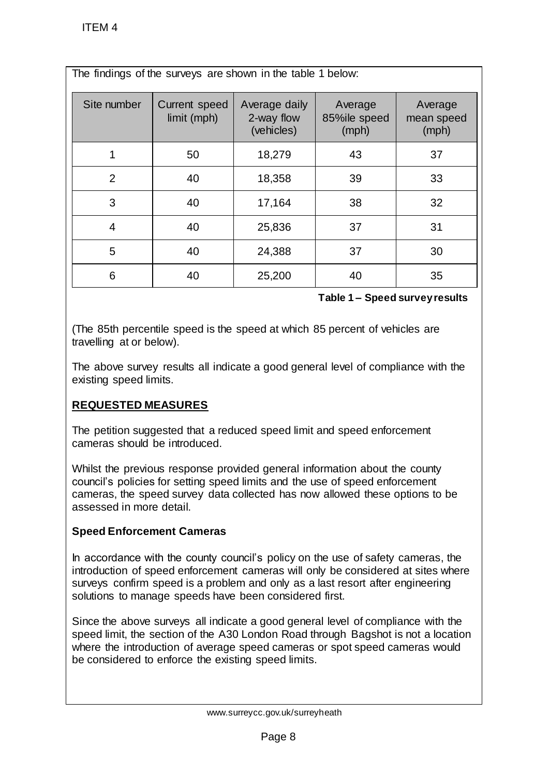| <b>ITEM4</b>                                                                                                                                                                                                                                                                                                                                                                                                                                                                                                                                                                                                                                                                  |                                     |                                           |                                  |                                |
|-------------------------------------------------------------------------------------------------------------------------------------------------------------------------------------------------------------------------------------------------------------------------------------------------------------------------------------------------------------------------------------------------------------------------------------------------------------------------------------------------------------------------------------------------------------------------------------------------------------------------------------------------------------------------------|-------------------------------------|-------------------------------------------|----------------------------------|--------------------------------|
| The findings of the surveys are shown in the table 1 below:                                                                                                                                                                                                                                                                                                                                                                                                                                                                                                                                                                                                                   |                                     |                                           |                                  |                                |
| Site number                                                                                                                                                                                                                                                                                                                                                                                                                                                                                                                                                                                                                                                                   | <b>Current speed</b><br>limit (mph) | Average daily<br>2-way flow<br>(vehicles) | Average<br>85%ile speed<br>(mph) | Average<br>mean speed<br>(mph) |
| $\mathbf 1$                                                                                                                                                                                                                                                                                                                                                                                                                                                                                                                                                                                                                                                                   | 50                                  | 18,279                                    | 43                               | 37                             |
| $\overline{2}$                                                                                                                                                                                                                                                                                                                                                                                                                                                                                                                                                                                                                                                                | 40                                  | 18,358                                    | 39                               | 33                             |
| 3                                                                                                                                                                                                                                                                                                                                                                                                                                                                                                                                                                                                                                                                             | 40                                  | 17,164                                    | 38                               | 32                             |
| 4                                                                                                                                                                                                                                                                                                                                                                                                                                                                                                                                                                                                                                                                             | 40                                  | 25,836                                    | 37                               | 31                             |
| 5                                                                                                                                                                                                                                                                                                                                                                                                                                                                                                                                                                                                                                                                             | 40                                  | 24,388                                    | 37                               | 30                             |
| 6                                                                                                                                                                                                                                                                                                                                                                                                                                                                                                                                                                                                                                                                             | 40                                  | 25,200                                    | 40                               | 35                             |
| Table 1 - Speed survey results                                                                                                                                                                                                                                                                                                                                                                                                                                                                                                                                                                                                                                                |                                     |                                           |                                  |                                |
| (The 85th percentile speed is the speed at which 85 percent of vehicles are<br>travelling at or below).<br>The above survey results all indicate a good general level of compliance with the<br>existing speed limits.<br><b>REQUESTED MEASURES</b><br>The petition suggested that a reduced speed limit and speed enforcement<br>cameras should be introduced.<br>Whilst the previous response provided general information about the county<br>council's policies for setting speed limits and the use of speed enforcement<br>cameras, the speed survey data collected has now allowed these options to be<br>assessed in more detail.<br><b>Speed Enforcement Cameras</b> |                                     |                                           |                                  |                                |
| In accordance with the county council's policy on the use of safety cameras, the<br>introduction of speed enforcement cameras will only be considered at sites where<br>surveys confirm speed is a problem and only as a last resort after engineering<br>solutions to manage speeds have been considered first.<br>Since the above surveys all indicate a good general level of compliance with the<br>speed limit, the section of the A30 London Road through Bagshot is not a location<br>where the introduction of average speed cameras or spot speed cameras would<br>be considered to enforce the existing speed limits.                                               |                                     |                                           |                                  |                                |
| www.surreycc.gov.uk/surreyheath                                                                                                                                                                                                                                                                                                                                                                                                                                                                                                                                                                                                                                               |                                     |                                           |                                  |                                |
| Page 8                                                                                                                                                                                                                                                                                                                                                                                                                                                                                                                                                                                                                                                                        |                                     |                                           |                                  |                                |

#### **Table 1 – Speed survey results**

# **REQUESTED MEASURES**

### **Speed Enforcement Cameras**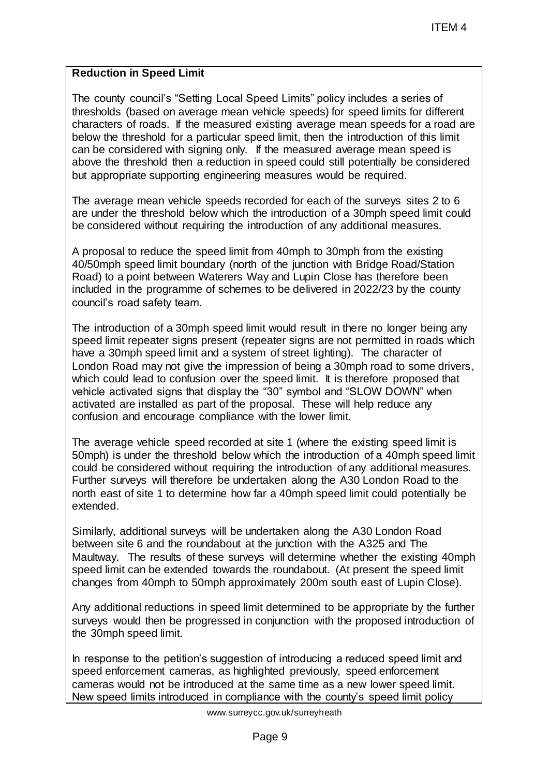#### **Reduction in Speed Limit**

The county council's "Setting Local Speed Limits" policy includes a series of thresholds (based on average mean vehicle speeds) for speed limits for different characters of roads. If the measured existing average mean speeds for a road are below the threshold for a particular speed limit, then the introduction of this limit can be considered with signing only. If the measured average mean speed is above the threshold then a reduction in speed could still potentially be considered but appropriate supporting engineering measures would be required.

The average mean vehicle speeds recorded for each of the surveys sites 2 to 6 are under the threshold below which the introduction of a 30mph speed limit could be considered without requiring the introduction of any additional measures.

A proposal to reduce the speed limit from 40mph to 30mph from the existing 40/50mph speed limit boundary (north of the junction with Bridge Road/Station Road) to a point between Waterers Way and Lupin Close has therefore been included in the programme of schemes to be delivered in 2022/23 by the county council's road safety team.

The introduction of a 30mph speed limit would result in there no longer being any speed limit repeater signs present (repeater signs are not permitted in roads which have a 30mph speed limit and a system of street lighting). The character of London Road may not give the impression of being a 30mph road to some drivers, which could lead to confusion over the speed limit. It is therefore proposed that vehicle activated signs that display the "30" symbol and "SLOW DOWN" when activated are installed as part of the proposal. These will help reduce any confusion and encourage compliance with the lower limit. ITEM 4<br>peed Limits" policy includes a series of<br>veride speed) for speed limits for different<br>existing average mean speeds for a road a<br>existing average mean speeds for a road a<br>beed limit, then the introduction of this lim

The average vehicle speed recorded at site 1 (where the existing speed limit is 50mph) is under the threshold below which the introduction of a 40mph speed limit could be considered without requiring the introduction of any additional measures. Further surveys will therefore be undertaken along the A30 London Road to the north east of site 1 to determine how far a 40mph speed limit could potentially be extended.

Similarly, additional surveys will be undertaken along the A30 London Road between site 6 and the roundabout at the junction with the A325 and The Maultway. The results of these surveys will determine whether the existing 40mph speed limit can be extended towards the roundabout. (At present the speed limit changes from 40mph to 50mph approximately 200m south east of Lupin Close).

Any additional reductions in speed limit determined to be appropriate by the further surveys would then be progressed in conjunction with the proposed introduction of the 30mph speed limit.

In response to the petition's suggestion of introducing a reduced speed limit and speed enforcement cameras, as highlighted previously, speed enforcement cameras would not be introduced at the same time as a new lower speed limit. New speed limits introduced in compliance with the county's speed limit policy